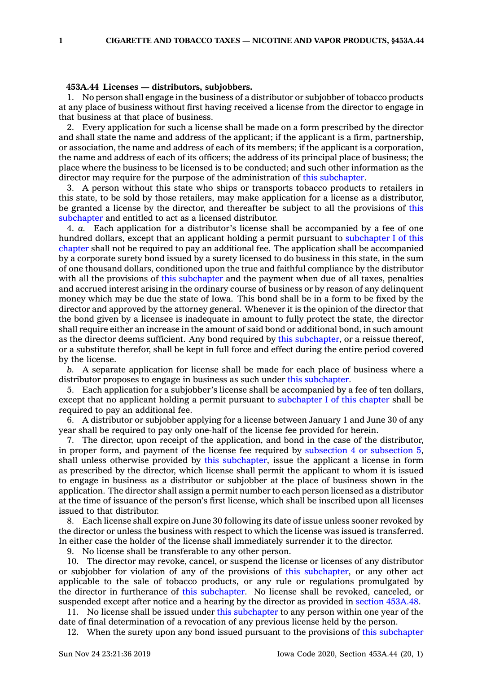## **453A.44 Licenses — distributors, subjobbers.**

1. No person shall engage in the business of <sup>a</sup> distributor or subjobber of tobacco products at any place of business without first having received <sup>a</sup> license from the director to engage in that business at that place of business.

2. Every application for such <sup>a</sup> license shall be made on <sup>a</sup> form prescribed by the director and shall state the name and address of the applicant; if the applicant is <sup>a</sup> firm, partnership, or association, the name and address of each of its members; if the applicant is <sup>a</sup> corporation, the name and address of each of its officers; the address of its principal place of business; the place where the business to be licensed is to be conducted; and such other information as the director may require for the purpose of the administration of this [subchapter](https://www.legis.iowa.gov/docs/code//453A.pdf).

3. A person without this state who ships or transports tobacco products to retailers in this state, to be sold by those retailers, may make application for <sup>a</sup> license as <sup>a</sup> distributor, be granted <sup>a</sup> license by the director, and thereafter be subject to all the provisions of [this](https://www.legis.iowa.gov/docs/code//453A.pdf) [subchapter](https://www.legis.iowa.gov/docs/code//453A.pdf) and entitled to act as <sup>a</sup> licensed distributor.

4. *a.* Each application for <sup>a</sup> distributor's license shall be accompanied by <sup>a</sup> fee of one hundred dollars, except that an applicant holding <sup>a</sup> permit pursuant to [subchapter](https://www.legis.iowa.gov/docs/code//453A.pdf) I of this [chapter](https://www.legis.iowa.gov/docs/code//453A.pdf) shall not be required to pay an additional fee. The application shall be accompanied by <sup>a</sup> corporate surety bond issued by <sup>a</sup> surety licensed to do business in this state, in the sum of one thousand dollars, conditioned upon the true and faithful compliance by the distributor with all the provisions of this [subchapter](https://www.legis.iowa.gov/docs/code//453A.pdf) and the payment when due of all taxes, penalties and accrued interest arising in the ordinary course of business or by reason of any delinquent money which may be due the state of Iowa. This bond shall be in <sup>a</sup> form to be fixed by the director and approved by the attorney general. Whenever it is the opinion of the director that the bond given by <sup>a</sup> licensee is inadequate in amount to fully protect the state, the director shall require either an increase in the amount of said bond or additional bond, in such amount as the director deems sufficient. Any bond required by this [subchapter](https://www.legis.iowa.gov/docs/code//453A.pdf), or <sup>a</sup> reissue thereof, or <sup>a</sup> substitute therefor, shall be kept in full force and effect during the entire period covered by the license.

*b.* A separate application for license shall be made for each place of business where <sup>a</sup> distributor proposes to engage in business as such under this [subchapter](https://www.legis.iowa.gov/docs/code//453A.pdf).

5. Each application for <sup>a</sup> subjobber's license shall be accompanied by <sup>a</sup> fee of ten dollars, except that no applicant holding <sup>a</sup> permit pursuant to [subchapter](https://www.legis.iowa.gov/docs/code//453A.pdf) I of this chapter shall be required to pay an additional fee.

6. A distributor or subjobber applying for <sup>a</sup> license between January 1 and June 30 of any year shall be required to pay only one-half of the license fee provided for herein.

7. The director, upon receipt of the application, and bond in the case of the distributor, in proper form, and payment of the license fee required by [subsection](https://www.legis.iowa.gov/docs/code/453A.44.pdf) 4 or subsection 5, shall unless otherwise provided by this [subchapter](https://www.legis.iowa.gov/docs/code//453A.pdf), issue the applicant <sup>a</sup> license in form as prescribed by the director, which license shall permit the applicant to whom it is issued to engage in business as <sup>a</sup> distributor or subjobber at the place of business shown in the application. The director shall assign <sup>a</sup> permit number to each person licensed as <sup>a</sup> distributor at the time of issuance of the person's first license, which shall be inscribed upon all licenses issued to that distributor.

8. Each license shall expire on June 30 following its date of issue unless sooner revoked by the director or unless the business with respect to which the license was issued is transferred. In either case the holder of the license shall immediately surrender it to the director.

9. No license shall be transferable to any other person.

10. The director may revoke, cancel, or suspend the license or licenses of any distributor or subjobber for violation of any of the provisions of this [subchapter](https://www.legis.iowa.gov/docs/code//453A.pdf), or any other act applicable to the sale of tobacco products, or any rule or regulations promulgated by the director in furtherance of this [subchapter](https://www.legis.iowa.gov/docs/code//453A.pdf). No license shall be revoked, canceled, or suspended except after notice and <sup>a</sup> hearing by the director as provided in section [453A.48](https://www.legis.iowa.gov/docs/code/453A.48.pdf).

11. No license shall be issued under this [subchapter](https://www.legis.iowa.gov/docs/code//453A.pdf) to any person within one year of the date of final determination of <sup>a</sup> revocation of any previous license held by the person.

12. When the surety upon any bond issued pursuant to the provisions of this [subchapter](https://www.legis.iowa.gov/docs/code//453A.pdf)